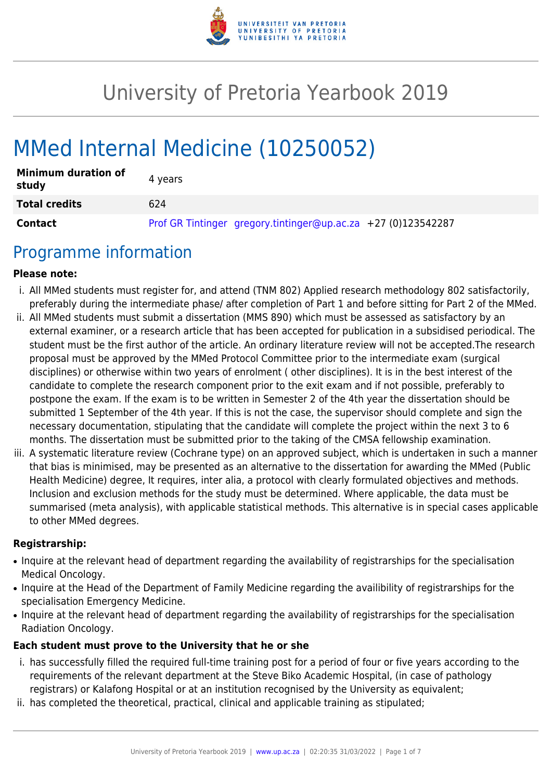

# University of Pretoria Yearbook 2019

# MMed Internal Medicine (10250052)

| <b>Minimum duration of</b><br>study | 4 years                                                       |
|-------------------------------------|---------------------------------------------------------------|
| <b>Total credits</b>                | 624                                                           |
| Contact                             | Prof GR Tintinger gregory.tintinger@up.ac.za +27 (0)123542287 |

# Programme information

#### **Please note:**

- i. All MMed students must register for, and attend (TNM 802) Applied research methodology 802 satisfactorily, preferably during the intermediate phase/ after completion of Part 1 and before sitting for Part 2 of the MMed.
- ii. All MMed students must submit a dissertation (MMS 890) which must be assessed as satisfactory by an external examiner, or a research article that has been accepted for publication in a subsidised periodical. The student must be the first author of the article. An ordinary literature review will not be accepted.The research proposal must be approved by the MMed Protocol Committee prior to the intermediate exam (surgical disciplines) or otherwise within two years of enrolment ( other disciplines). It is in the best interest of the candidate to complete the research component prior to the exit exam and if not possible, preferably to postpone the exam. If the exam is to be written in Semester 2 of the 4th year the dissertation should be submitted 1 September of the 4th year. If this is not the case, the supervisor should complete and sign the necessary documentation, stipulating that the candidate will complete the project within the next 3 to 6 months. The dissertation must be submitted prior to the taking of the CMSA fellowship examination.
- iii. A systematic literature review (Cochrane type) on an approved subject, which is undertaken in such a manner that bias is minimised, may be presented as an alternative to the dissertation for awarding the MMed (Public Health Medicine) degree, It requires, inter alia, a protocol with clearly formulated objectives and methods. Inclusion and exclusion methods for the study must be determined. Where applicable, the data must be summarised (meta analysis), with applicable statistical methods. This alternative is in special cases applicable to other MMed degrees.

#### **Registrarship:**

- Inquire at the relevant head of department regarding the availability of registrarships for the specialisation Medical Oncology.
- Inquire at the Head of the Department of Family Medicine regarding the availibility of registrarships for the specialisation Emergency Medicine.
- Inquire at the relevant head of department regarding the availability of registrarships for the specialisation Radiation Oncology.

#### **Each student must prove to the University that he or she**

- i. has successfully filled the required full-time training post for a period of four or five years according to the requirements of the relevant department at the Steve Biko Academic Hospital, (in case of pathology registrars) or Kalafong Hospital or at an institution recognised by the University as equivalent;
- ii. has completed the theoretical, practical, clinical and applicable training as stipulated;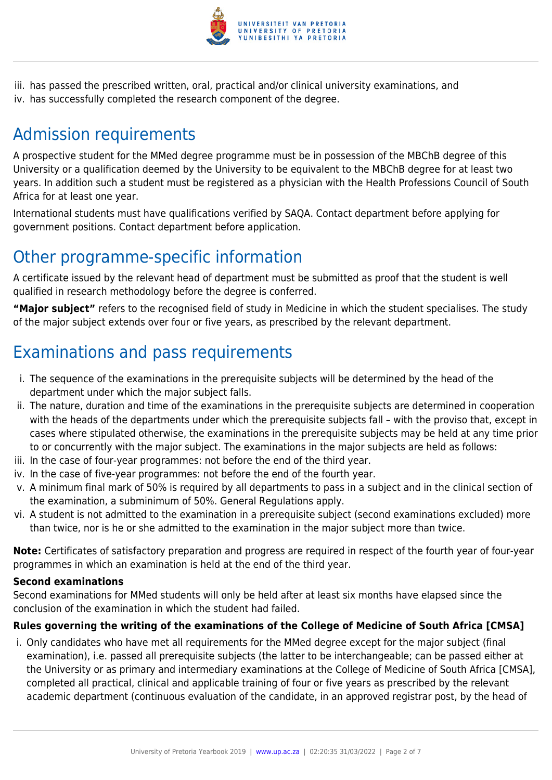

iii. has passed the prescribed written, oral, practical and/or clinical university examinations, and iv. has successfully completed the research component of the degree.

# Admission requirements

A prospective student for the MMed degree programme must be in possession of the MBChB degree of this University or a qualification deemed by the University to be equivalent to the MBChB degree for at least two years. In addition such a student must be registered as a physician with the Health Professions Council of South Africa for at least one year.

International students must have qualifications verified by SAQA. Contact department before applying for government positions. Contact department before application.

# Other programme-specific information

A certificate issued by the relevant head of department must be submitted as proof that the student is well qualified in research methodology before the degree is conferred.

**"Major subject"** refers to the recognised field of study in Medicine in which the student specialises. The study of the major subject extends over four or five years, as prescribed by the relevant department.

# Examinations and pass requirements

- i. The sequence of the examinations in the prerequisite subjects will be determined by the head of the department under which the major subject falls.
- ii. The nature, duration and time of the examinations in the prerequisite subjects are determined in cooperation with the heads of the departments under which the prerequisite subjects fall – with the proviso that, except in cases where stipulated otherwise, the examinations in the prerequisite subjects may be held at any time prior to or concurrently with the major subject. The examinations in the major subjects are held as follows:
- iii. In the case of four-year programmes: not before the end of the third year.
- iv. In the case of five-year programmes: not before the end of the fourth year.
- v. A minimum final mark of 50% is required by all departments to pass in a subject and in the clinical section of the examination, a subminimum of 50%. General Regulations apply.
- vi. A student is not admitted to the examination in a prerequisite subject (second examinations excluded) more than twice, nor is he or she admitted to the examination in the major subject more than twice.

**Note:** Certificates of satisfactory preparation and progress are required in respect of the fourth year of four-year programmes in which an examination is held at the end of the third year.

#### **Second examinations**

Second examinations for MMed students will only be held after at least six months have elapsed since the conclusion of the examination in which the student had failed.

#### **Rules governing the writing of the examinations of the College of Medicine of South Africa [CMSA]**

i. Only candidates who have met all requirements for the MMed degree except for the major subject (final examination), i.e. passed all prerequisite subjects (the latter to be interchangeable; can be passed either at the University or as primary and intermediary examinations at the College of Medicine of South Africa [CMSA], completed all practical, clinical and applicable training of four or five years as prescribed by the relevant academic department (continuous evaluation of the candidate, in an approved registrar post, by the head of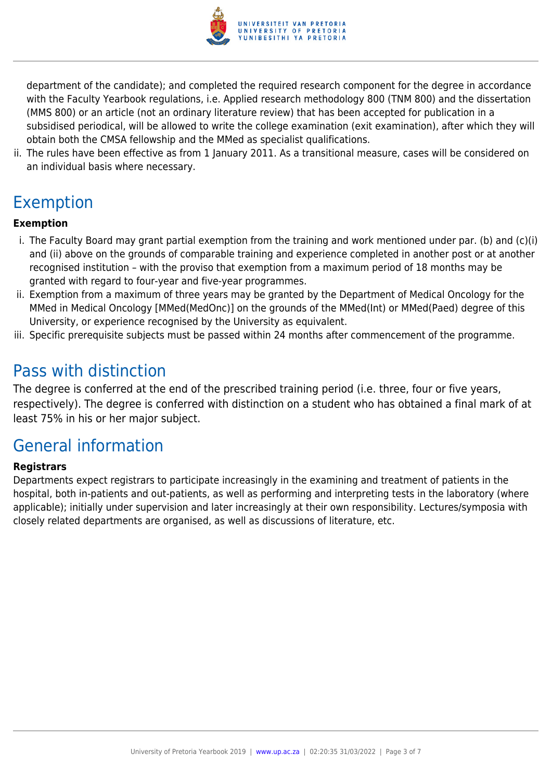

department of the candidate); and completed the required research component for the degree in accordance with the Faculty Yearbook regulations, i.e. Applied research methodology 800 (TNM 800) and the dissertation (MMS 800) or an article (not an ordinary literature review) that has been accepted for publication in a subsidised periodical, will be allowed to write the college examination (exit examination), after which they will obtain both the CMSA fellowship and the MMed as specialist qualifications.

ii. The rules have been effective as from 1 January 2011. As a transitional measure, cases will be considered on an individual basis where necessary.

# Exemption

#### **Exemption**

- i. The Faculty Board may grant partial exemption from the training and work mentioned under par. (b) and (c)(i) and (ii) above on the grounds of comparable training and experience completed in another post or at another recognised institution – with the proviso that exemption from a maximum period of 18 months may be granted with regard to four-year and five-year programmes.
- ii. Exemption from a maximum of three years may be granted by the Department of Medical Oncology for the MMed in Medical Oncology [MMed(MedOnc)] on the grounds of the MMed(Int) or MMed(Paed) degree of this University, or experience recognised by the University as equivalent.
- iii. Specific prerequisite subjects must be passed within 24 months after commencement of the programme.

# Pass with distinction

The degree is conferred at the end of the prescribed training period (i.e. three, four or five years, respectively). The degree is conferred with distinction on a student who has obtained a final mark of at least 75% in his or her major subject.

# General information

#### **Registrars**

Departments expect registrars to participate increasingly in the examining and treatment of patients in the hospital, both in-patients and out-patients, as well as performing and interpreting tests in the laboratory (where applicable); initially under supervision and later increasingly at their own responsibility. Lectures/symposia with closely related departments are organised, as well as discussions of literature, etc.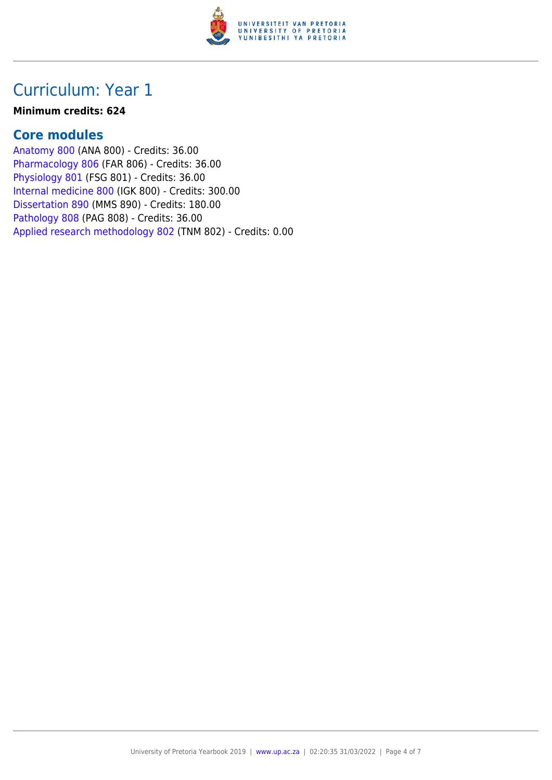

# Curriculum: Year 1

#### **Minimum credits: 624**

#### **Core modules**

[Anatomy 800](https://www.up.ac.za/mechanical-and-aeronautical-engineering/yearbooks/2019/modules/view/ANA 800) (ANA 800) - Credits: 36.00 [Pharmacology 806](https://www.up.ac.za/mechanical-and-aeronautical-engineering/yearbooks/2019/modules/view/FAR 806) (FAR 806) - Credits: 36.00 [Physiology 801](https://www.up.ac.za/mechanical-and-aeronautical-engineering/yearbooks/2019/modules/view/FSG 801) (FSG 801) - Credits: 36.00 [Internal medicine 800](https://www.up.ac.za/mechanical-and-aeronautical-engineering/yearbooks/2019/modules/view/IGK 800) (IGK 800) - Credits: 300.00 [Dissertation 890](https://www.up.ac.za/mechanical-and-aeronautical-engineering/yearbooks/2019/modules/view/MMS 890) (MMS 890) - Credits: 180.00 [Pathology 808](https://www.up.ac.za/mechanical-and-aeronautical-engineering/yearbooks/2019/modules/view/PAG 808) (PAG 808) - Credits: 36.00 [Applied research methodology 802](https://www.up.ac.za/mechanical-and-aeronautical-engineering/yearbooks/2019/modules/view/TNM 802) (TNM 802) - Credits: 0.00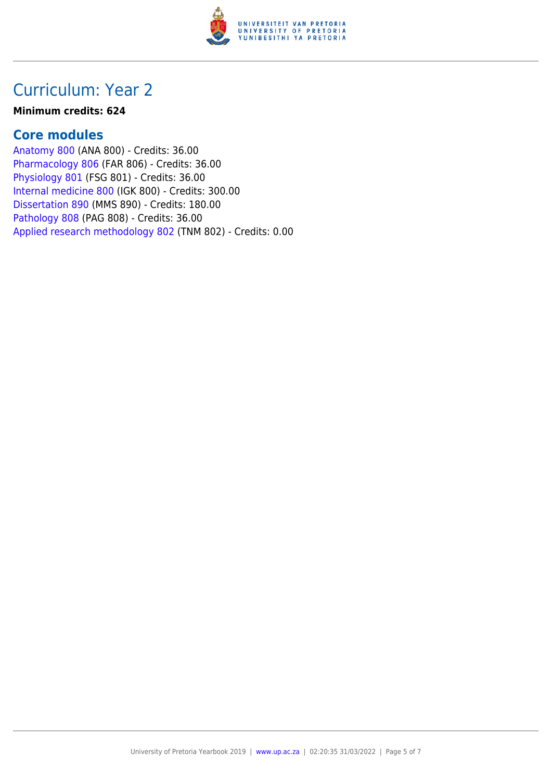

# Curriculum: Year 2

#### **Minimum credits: 624**

#### **Core modules**

[Anatomy 800](https://www.up.ac.za/mechanical-and-aeronautical-engineering/yearbooks/2019/modules/view/ANA 800) (ANA 800) - Credits: 36.00 [Pharmacology 806](https://www.up.ac.za/mechanical-and-aeronautical-engineering/yearbooks/2019/modules/view/FAR 806) (FAR 806) - Credits: 36.00 [Physiology 801](https://www.up.ac.za/mechanical-and-aeronautical-engineering/yearbooks/2019/modules/view/FSG 801) (FSG 801) - Credits: 36.00 [Internal medicine 800](https://www.up.ac.za/mechanical-and-aeronautical-engineering/yearbooks/2019/modules/view/IGK 800) (IGK 800) - Credits: 300.00 [Dissertation 890](https://www.up.ac.za/mechanical-and-aeronautical-engineering/yearbooks/2019/modules/view/MMS 890) (MMS 890) - Credits: 180.00 [Pathology 808](https://www.up.ac.za/mechanical-and-aeronautical-engineering/yearbooks/2019/modules/view/PAG 808) (PAG 808) - Credits: 36.00 [Applied research methodology 802](https://www.up.ac.za/mechanical-and-aeronautical-engineering/yearbooks/2019/modules/view/TNM 802) (TNM 802) - Credits: 0.00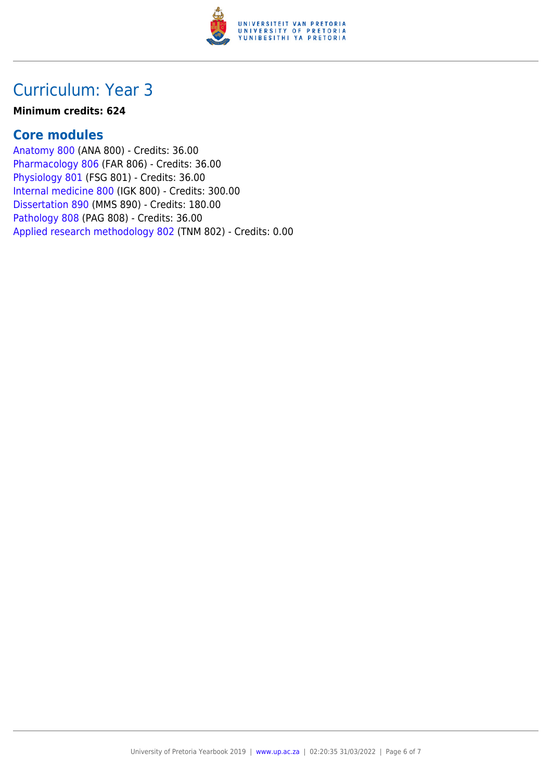

# Curriculum: Year 3

#### **Minimum credits: 624**

#### **Core modules**

[Anatomy 800](https://www.up.ac.za/mechanical-and-aeronautical-engineering/yearbooks/2019/modules/view/ANA 800) (ANA 800) - Credits: 36.00 [Pharmacology 806](https://www.up.ac.za/mechanical-and-aeronautical-engineering/yearbooks/2019/modules/view/FAR 806) (FAR 806) - Credits: 36.00 [Physiology 801](https://www.up.ac.za/mechanical-and-aeronautical-engineering/yearbooks/2019/modules/view/FSG 801) (FSG 801) - Credits: 36.00 [Internal medicine 800](https://www.up.ac.za/mechanical-and-aeronautical-engineering/yearbooks/2019/modules/view/IGK 800) (IGK 800) - Credits: 300.00 [Dissertation 890](https://www.up.ac.za/mechanical-and-aeronautical-engineering/yearbooks/2019/modules/view/MMS 890) (MMS 890) - Credits: 180.00 [Pathology 808](https://www.up.ac.za/mechanical-and-aeronautical-engineering/yearbooks/2019/modules/view/PAG 808) (PAG 808) - Credits: 36.00 [Applied research methodology 802](https://www.up.ac.za/mechanical-and-aeronautical-engineering/yearbooks/2019/modules/view/TNM 802) (TNM 802) - Credits: 0.00